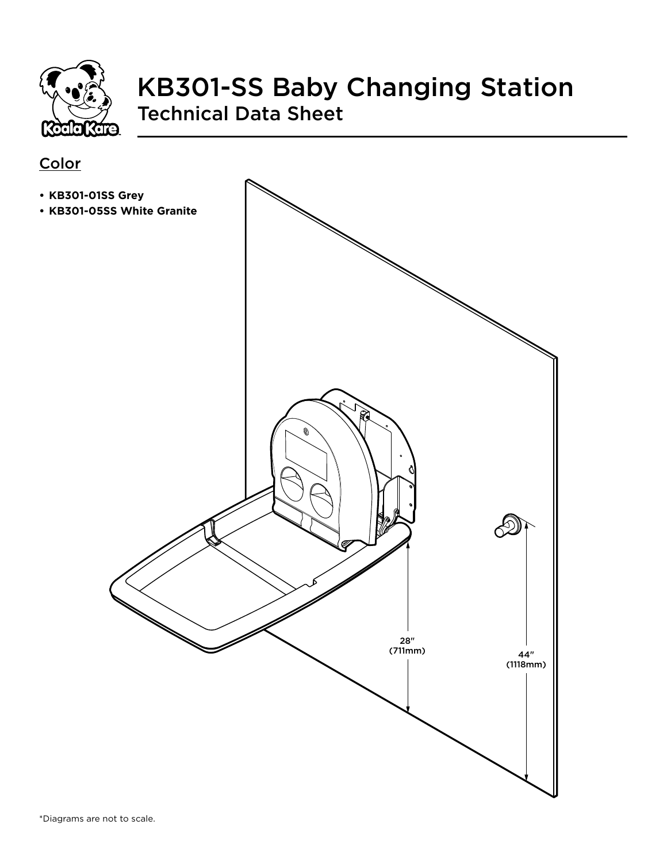

## KB301-SS Baby Changing Station Technical Data Sheet

#### **Color**

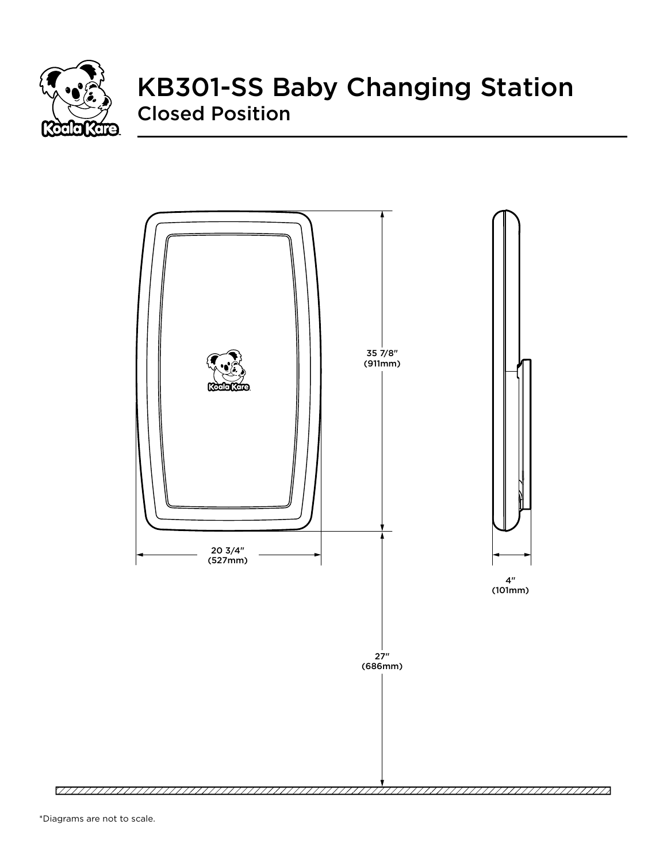

# KB301-SS Baby Changing Station Closed Position

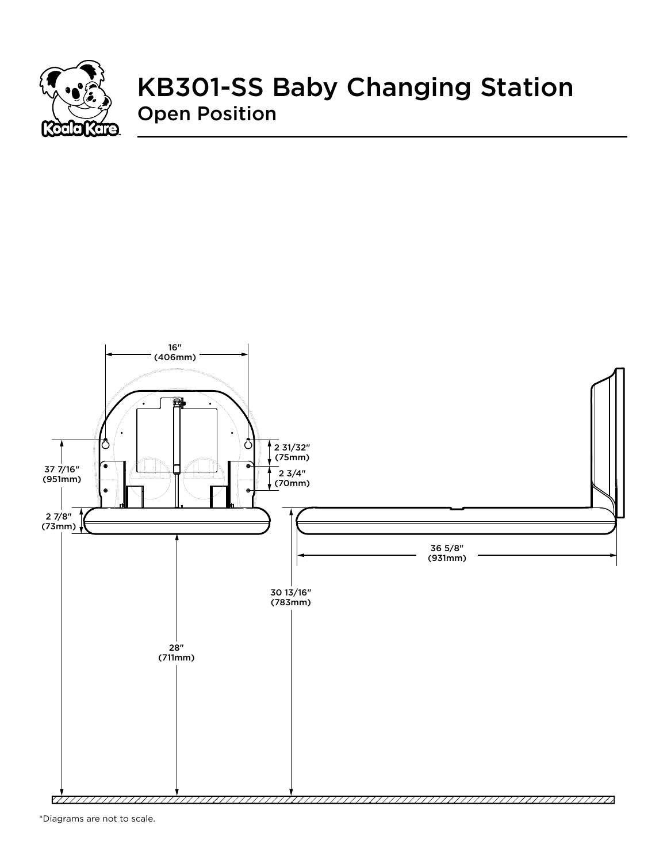

## KB301-SS Baby Changing Station Open Position



\*Diagrams are not to scale.